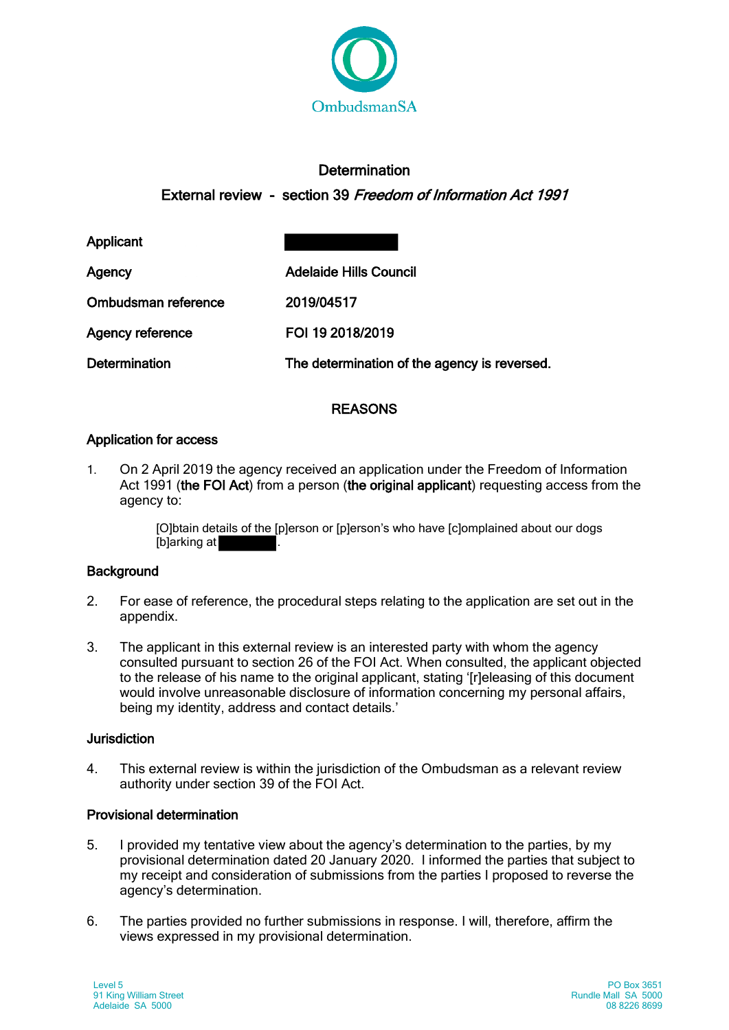

# **Determination**

# External review - section 39 Freedom of Information Act 1991

Applicant

Ombudsman reference 2019/04517

Agency Adelaide Hills Council

Agency reference FOI 19 2018/2019

Determination The determination of the agency is reversed.

# **REASONS**

## Application for access

1. On 2 April 2019 the agency received an application under the Freedom of Information Act 1991 (the FOI Act) from a person (the original applicant) requesting access from the agency to:

> [O]btain details of the [p]erson or [p]erson's who have [c]omplained about our dogs [b]arking at

## **Background**

- 2. For ease of reference, the procedural steps relating to the application are set out in the appendix.
- 3. The applicant in this external review is an interested party with whom the agency consulted pursuant to section 26 of the FOI Act. When consulted, the applicant objected to the release of his name to the original applicant, stating '[r]eleasing of this document would involve unreasonable disclosure of information concerning my personal affairs, being my identity, address and contact details.'

#### Jurisdiction

4. This external review is within the jurisdiction of the Ombudsman as a relevant review authority under section 39 of the FOI Act.

## Provisional determination

- 5. I provided my tentative view about the agency's determination to the parties, by my provisional determination dated 20 January 2020. I informed the parties that subject to my receipt and consideration of submissions from the parties I proposed to reverse the agency's determination.
- 6. The parties provided no further submissions in response. I will, therefore, affirm the views expressed in my provisional determination.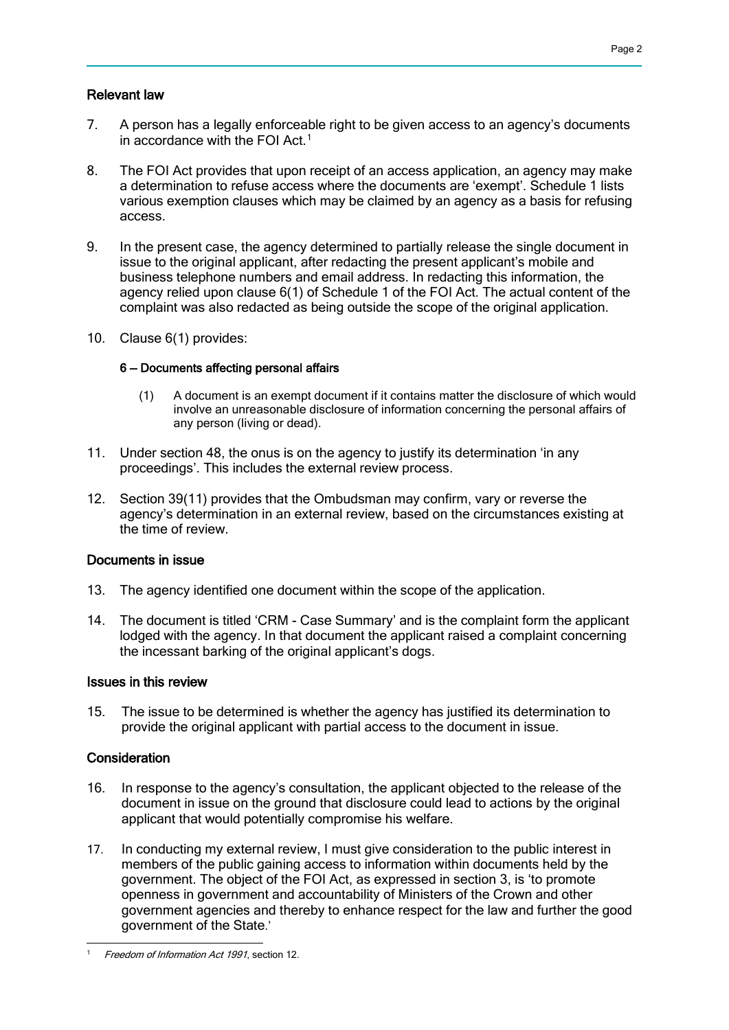#### Relevant law

- 7. A person has a legally enforceable right to be given access to an agency's documents in accordance with the FOI Act.[1](#page-1-0)
- 8. The FOI Act provides that upon receipt of an access application, an agency may make a determination to refuse access where the documents are 'exempt'. Schedule 1 lists various exemption clauses which may be claimed by an agency as a basis for refusing access.
- 9. In the present case, the agency determined to partially release the single document in issue to the original applicant, after redacting the present applicant's mobile and business telephone numbers and email address. In redacting this information, the agency relied upon clause 6(1) of Schedule 1 of the FOI Act. The actual content of the complaint was also redacted as being outside the scope of the original application.
- 10. Clause 6(1) provides:

#### 6 — Documents affecting personal affairs

- (1) A document is an exempt document if it contains matter the disclosure of which would involve an unreasonable disclosure of information concerning the personal affairs of any person (living or dead).
- 11. Under section 48, the onus is on the agency to justify its determination 'in any proceedings'. This includes the external review process.
- 12. Section 39(11) provides that the Ombudsman may confirm, vary or reverse the agency's determination in an external review, based on the circumstances existing at the time of review.

#### Documents in issue

- 13. The agency identified one document within the scope of the application.
- 14. The document is titled 'CRM Case Summary' and is the complaint form the applicant lodged with the agency. In that document the applicant raised a complaint concerning the incessant barking of the original applicant's dogs.

#### Issues in this review

15. The issue to be determined is whether the agency has justified its determination to provide the original applicant with partial access to the document in issue.

#### **Consideration**

- 16. In response to the agency's consultation, the applicant objected to the release of the document in issue on the ground that disclosure could lead to actions by the original applicant that would potentially compromise his welfare.
- 17. In conducting my external review, I must give consideration to the public interest in members of the public gaining access to information within documents held by the government. The object of the FOI Act, as expressed in section 3, is 'to promote openness in government and accountability of Ministers of the Crown and other government agencies and thereby to enhance respect for the law and further the good government of the State.'

<span id="page-1-0"></span><sup>-</sup>Freedom of Information Act 1991, section 12.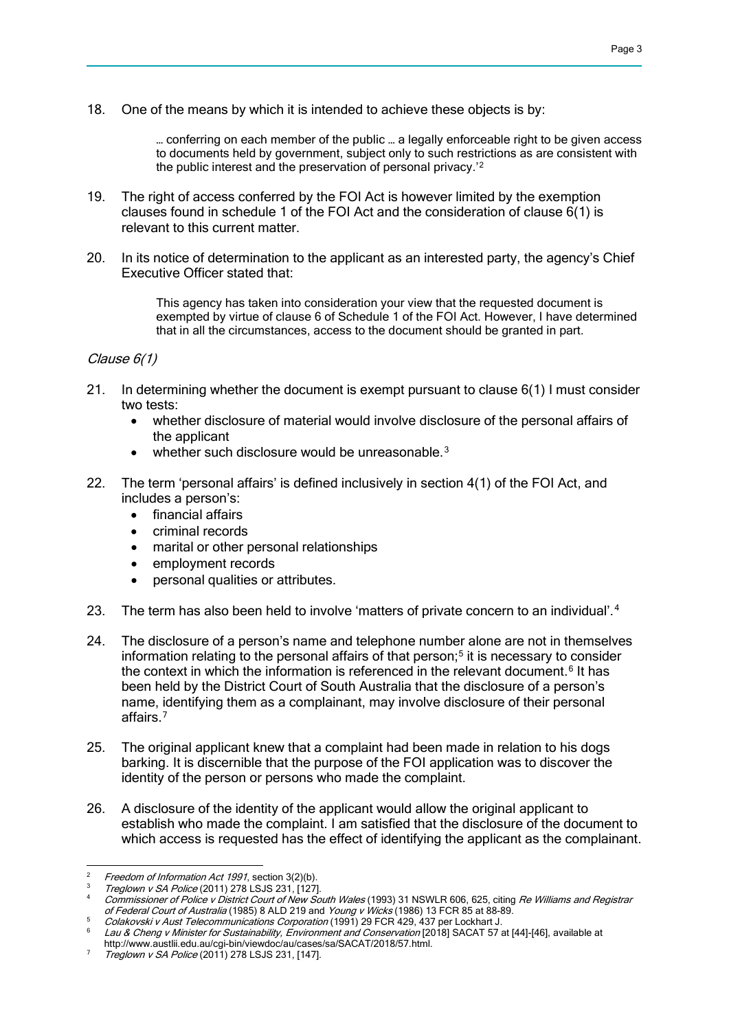18. One of the means by which it is intended to achieve these objects is by:

… conferring on each member of the public … a legally enforceable right to be given access to documents held by government, subject only to such restrictions as are consistent with the public interest and the preservation of personal privacy.'[2](#page-2-0)

- 19. The right of access conferred by the FOI Act is however limited by the exemption clauses found in schedule 1 of the FOI Act and the consideration of clause 6(1) is relevant to this current matter.
- 20. In its notice of determination to the applicant as an interested party, the agency's Chief Executive Officer stated that:

This agency has taken into consideration your view that the requested document is exempted by virtue of clause 6 of Schedule 1 of the FOI Act. However, I have determined that in all the circumstances, access to the document should be granted in part.

#### Clause 6(1)

- 21. In determining whether the document is exempt pursuant to clause 6(1) I must consider two tests:
	- whether disclosure of material would involve disclosure of the personal affairs of the applicant
	- whether such disclosure would be unreasonable. $3$
- 22. The term 'personal affairs' is defined inclusively in section 4(1) of the FOI Act, and includes a person's:
	- financial affairs
	- criminal records
	- marital or other personal relationships
	- employment records
	- personal qualities or attributes.
- 23. The term has also been held to involve 'matters of private concern to an individual'.<sup>[4](#page-2-2)</sup>
- 24. The disclosure of a person's name and telephone number alone are not in themselves information relating to the personal affairs of that person;<sup>[5](#page-2-3)</sup> it is necessary to consider the context in which the information is referenced in the relevant document.<sup>[6](#page-2-4)</sup> It has been held by the District Court of South Australia that the disclosure of a person's name, identifying them as a complainant, may involve disclosure of their personal affairs.[7](#page-2-5)
- 25. The original applicant knew that a complaint had been made in relation to his dogs barking. It is discernible that the purpose of the FOI application was to discover the identity of the person or persons who made the complaint.
- 26. A disclosure of the identity of the applicant would allow the original applicant to establish who made the complaint. I am satisfied that the disclosure of the document to which access is requested has the effect of identifying the applicant as the complainant.

-

<span id="page-2-0"></span>Freedom of Information Act 1991, section 3(2)(b).

<span id="page-2-1"></span>Treglown v SA Police (2011) 278 LSJS 231, [127].

<span id="page-2-2"></span>Commissioner of Police v District Court of New South Wales (1993) 31 NSWLR 606, 625, citing Re Williams and Registrar of Federal Court of Australia (1985) 8 ALD 219 and Young v Wicks (1986) 13 FCR 85 at 88-89.

<span id="page-2-3"></span>Colakovski v Aust Telecommunications Corporation (1991) 29 FCR 429, 437 per Lockhart J.

<span id="page-2-4"></span>Lau & Cheng v Minister for Sustainability, Environment and Conservation [2018] SACAT 57 at [44]-[46], available at http://www.austlii.edu.au/cgi-bin/viewdoc/au/cases/sa/SACAT/2018/57.html.

<span id="page-2-5"></span> $7$  Treglown v SA Police (2011) 278 LSJS 231, [147].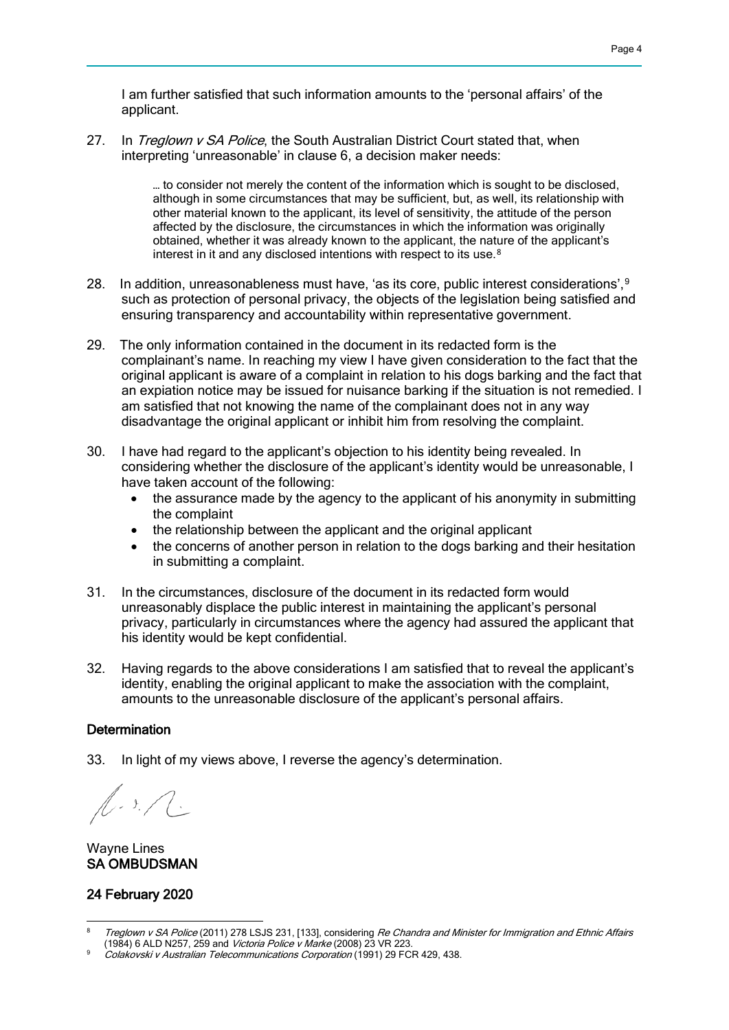I am further satisfied that such information amounts to the 'personal affairs' of the applicant.

27. In Treglown v SA Police, the South Australian District Court stated that, when interpreting 'unreasonable' in clause 6, a decision maker needs:

> … to consider not merely the content of the information which is sought to be disclosed, although in some circumstances that may be sufficient, but, as well, its relationship with other material known to the applicant, its level of sensitivity, the attitude of the person affected by the disclosure, the circumstances in which the information was originally obtained, whether it was already known to the applicant, the nature of the applicant's interest in it and any disclosed intentions with respect to its use.<sup>[8](#page-3-0)</sup>

- 28. In addition, unreasonableness must have, 'as its core, public interest considerations',  $9$ such as protection of personal privacy, the objects of the legislation being satisfied and ensuring transparency and accountability within representative government.
- 29. The only information contained in the document in its redacted form is the complainant's name. In reaching my view I have given consideration to the fact that the original applicant is aware of a complaint in relation to his dogs barking and the fact that an expiation notice may be issued for nuisance barking if the situation is not remedied. I am satisfied that not knowing the name of the complainant does not in any way disadvantage the original applicant or inhibit him from resolving the complaint.
- 30. I have had regard to the applicant's objection to his identity being revealed. In considering whether the disclosure of the applicant's identity would be unreasonable, I have taken account of the following:
	- the assurance made by the agency to the applicant of his anonymity in submitting the complaint
	- the relationship between the applicant and the original applicant
	- the concerns of another person in relation to the dogs barking and their hesitation in submitting a complaint.
- 31. In the circumstances, disclosure of the document in its redacted form would unreasonably displace the public interest in maintaining the applicant's personal privacy, particularly in circumstances where the agency had assured the applicant that his identity would be kept confidential.
- 32. Having regards to the above considerations I am satisfied that to reveal the applicant's identity, enabling the original applicant to make the association with the complaint, amounts to the unreasonable disclosure of the applicant's personal affairs.

#### **Determination**

33. In light of my views above, I reverse the agency's determination.

 $\sqrt{2.3}$ . A.

Wayne Lines SA OMBUDSMAN

#### 24 February 2020

<span id="page-3-0"></span><sup>-</sup>Treglown v SA Police (2011) 278 LSJS 231, [133], considering Re Chandra and Minister for Immigration and Ethnic Affairs (1984) 6 ALD N257, 259 and Victoria Police v Marke (2008) 23 VR 223.

<span id="page-3-1"></span>Colakovski v Australian Telecommunications Corporation (1991) 29 FCR 429, 438.